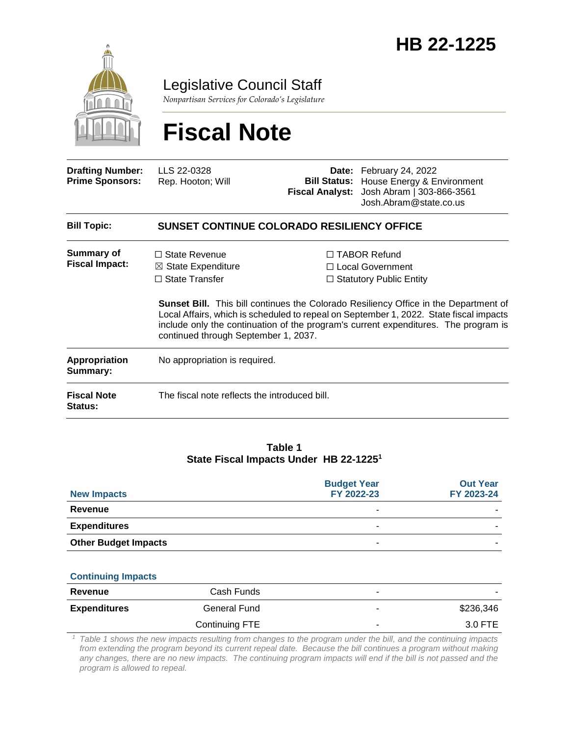

Legislative Council Staff

*Nonpartisan Services for Colorado's Legislature*

# **Fiscal Note**

| <b>Drafting Number:</b><br><b>Prime Sponsors:</b> | LLS 22-0328<br>Rep. Hooton; Will                                                                                       | <b>Bill Status:</b><br><b>Fiscal Analyst:</b> | Date: February 24, 2022<br>House Energy & Environment<br>Josh Abram   303-866-3561<br>Josh.Abram@state.co.us                                                                                                                                                                                                                                                |  |  |
|---------------------------------------------------|------------------------------------------------------------------------------------------------------------------------|-----------------------------------------------|-------------------------------------------------------------------------------------------------------------------------------------------------------------------------------------------------------------------------------------------------------------------------------------------------------------------------------------------------------------|--|--|
| <b>Bill Topic:</b>                                | <b>SUNSET CONTINUE COLORADO RESILIENCY OFFICE</b>                                                                      |                                               |                                                                                                                                                                                                                                                                                                                                                             |  |  |
| <b>Summary of</b><br><b>Fiscal Impact:</b>        | $\Box$ State Revenue<br>$\boxtimes$ State Expenditure<br>$\Box$ State Transfer<br>continued through September 1, 2037. |                                               | □ TABOR Refund<br>$\Box$ Local Government<br>$\Box$ Statutory Public Entity<br><b>Sunset Bill.</b> This bill continues the Colorado Resiliency Office in the Department of<br>Local Affairs, which is scheduled to repeal on September 1, 2022. State fiscal impacts<br>include only the continuation of the program's current expenditures. The program is |  |  |
| Appropriation<br>Summary:                         | No appropriation is required.                                                                                          |                                               |                                                                                                                                                                                                                                                                                                                                                             |  |  |
| <b>Fiscal Note</b><br><b>Status:</b>              | The fiscal note reflects the introduced bill.                                                                          |                                               |                                                                                                                                                                                                                                                                                                                                                             |  |  |
|                                                   |                                                                                                                        |                                               |                                                                                                                                                                                                                                                                                                                                                             |  |  |

#### **Table 1 State Fiscal Impacts Under HB 22-1225<sup>1</sup>**

| <b>New Impacts</b>          | <b>Budget Year</b><br>FY 2022-23 | <b>Out Year</b><br>FY 2023-24 |
|-----------------------------|----------------------------------|-------------------------------|
| Revenue                     | -                                |                               |
| <b>Expenditures</b>         | -                                |                               |
| <b>Other Budget Impacts</b> | -                                |                               |

#### **Continuing Impacts**

| Revenue             | Cash Funds     | ۰ | $\sim$    |
|---------------------|----------------|---|-----------|
| <b>Expenditures</b> | General Fund   |   | \$236,346 |
|                     | Continuing FTE | ۰ | 3.0 FTE   |

*<sup>1</sup> Table 1 shows the new impacts resulting from changes to the program under the bill, and the continuing impacts from extending the program beyond its current repeal date. Because the bill continues a program without making any changes, there are no new impacts. The continuing program impacts will end if the bill is not passed and the program is allowed to repeal.*